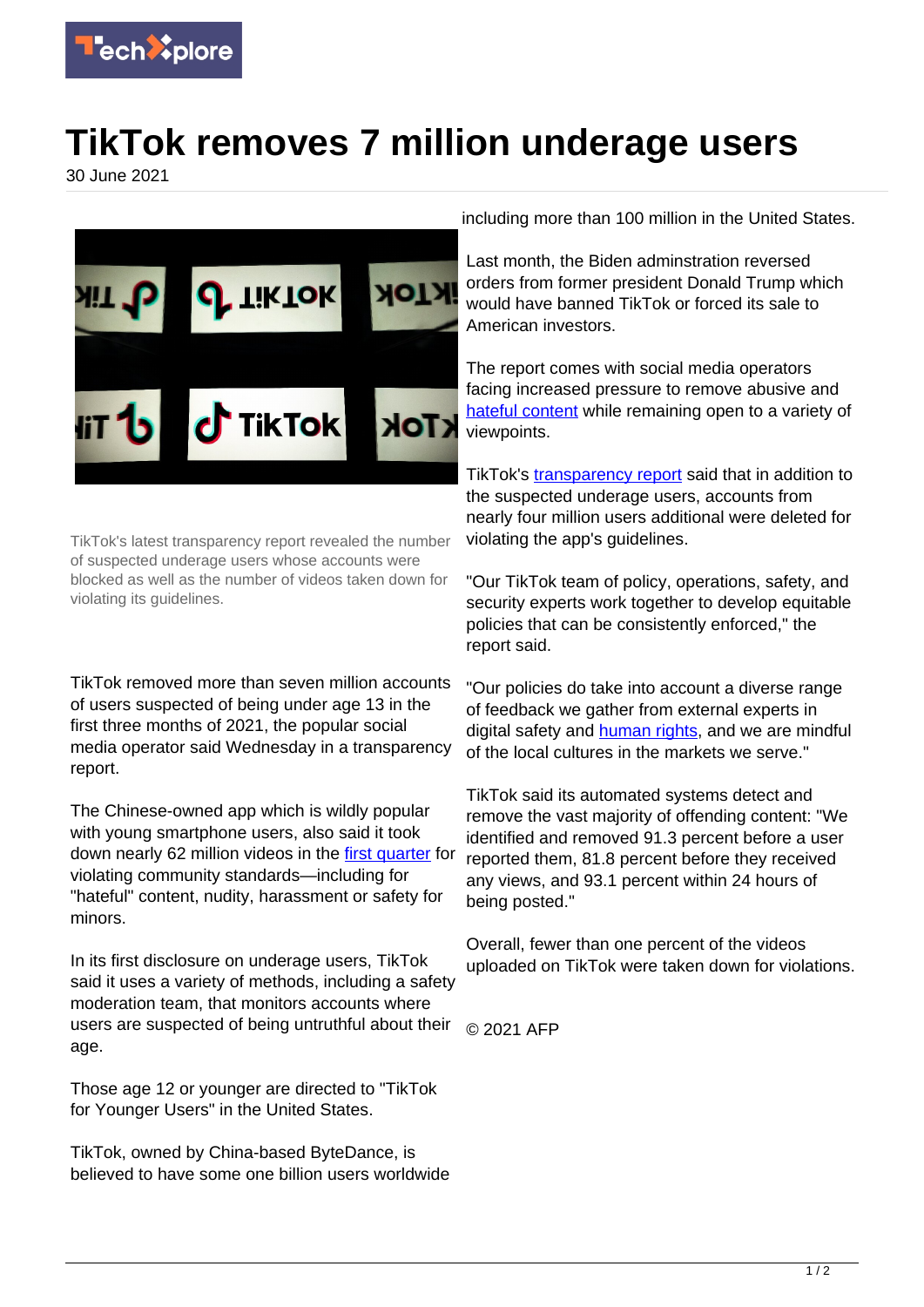

## **TikTok removes 7 million underage users**

30 June 2021



TikTok's latest transparency report revealed the number of suspected underage users whose accounts were blocked as well as the number of videos taken down for violating its guidelines.

TikTok removed more than seven million accounts of users suspected of being under age 13 in the first three months of 2021, the popular social media operator said Wednesday in a transparency report.

The Chinese-owned app which is wildly popular with young smartphone users, also said it took down nearly 62 million videos in the [first quarter](https://techxplore.com/tags/first+quarter/) for violating community standards—including for "hateful" content, nudity, harassment or safety for minors.

In its first disclosure on underage users, TikTok said it uses a variety of methods, including a safety moderation team, that monitors accounts where users are suspected of being untruthful about their age.

Those age 12 or younger are directed to "TikTok for Younger Users" in the United States.

TikTok, owned by China-based ByteDance, is believed to have some one billion users worldwide including more than 100 million in the United States.

Last month, the Biden adminstration reversed orders from former president Donald Trump which would have banned TikTok or forced its sale to American investors.

The report comes with social media operators facing increased pressure to remove abusive and [hateful content](https://techxplore.com/tags/hateful+content/) while remaining open to a variety of viewpoints.

TikTok's [transparency report](https://techxplore.com/tags/transparency+report/) said that in addition to the suspected underage users, accounts from nearly four million users additional were deleted for violating the app's guidelines.

"Our TikTok team of policy, operations, safety, and security experts work together to develop equitable policies that can be consistently enforced," the report said.

"Our policies do take into account a diverse range of feedback we gather from external experts in digital safety and **human rights**, and we are mindful of the local cultures in the markets we serve."

TikTok said its automated systems detect and remove the vast majority of offending content: "We identified and removed 91.3 percent before a user reported them, 81.8 percent before they received any views, and 93.1 percent within 24 hours of being posted."

Overall, fewer than one percent of the videos uploaded on TikTok were taken down for violations.

© 2021 AFP